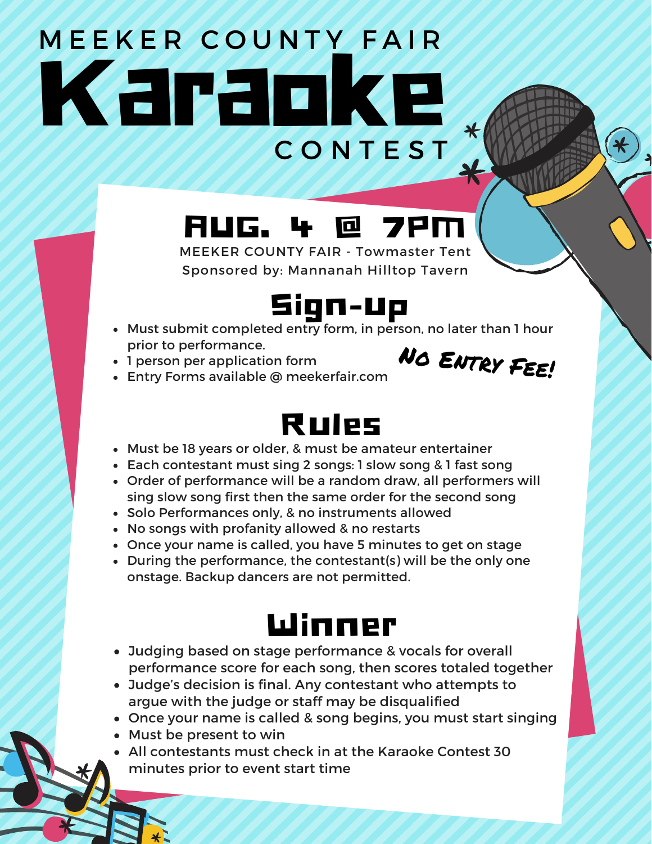# Karaoke C O N T E S T M E E K E R COUNTY FAIR

### AUG. 4 @ 7PM

MEEKER COUNTY FAIR - Towmaster Tent Sponsored by: Mannanah Hilltop Tavern



- Must submit completed entry form, in person, no later than 1 hour prior to performance.
- 1 person per application form



Entry Forms available @ meekerfair.com

#### Rules

- Must be 18 years or older, & must be amateur entertainer
- Each contestant must sing 2 songs: 1 slow song & 1 fast song
- Order of performance will be a random draw, all performers will sing slow song first then the same order for the second song
- Solo Performances only, & no instruments allowed
- No songs with profanity allowed & no restarts
- Once your name is called, you have 5 minutes to get on stage
- During the performance, the contestant(s) will be the only one onstage. Backup dancers are not permitted.

#### Winner

- Judging based on stage performance & vocals for overall performance score for each song, then scores totaled together
- Judge's decision is final. Any contestant who attempts to argue with the judge or staff may be disqualified
- Once your name is called & song begins, you must start singing
- Must be present to win
- All contestants must check in at the Karaoke Contest 30 minutes prior to event start time